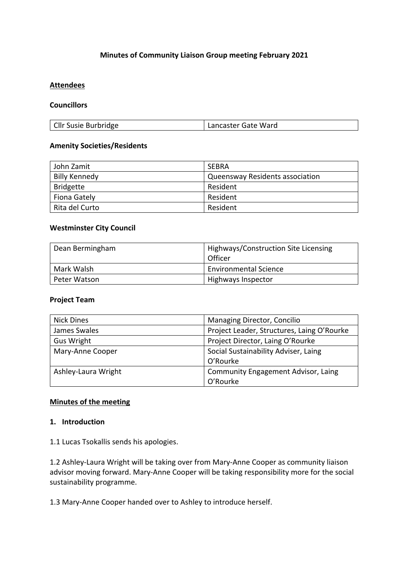### **Minutes of Community Liaison Group meeting February 2021**

#### **Attendees**

### **Councillors**

#### **Amenity Societies/Residents**

| John Zamit           | <b>SEBRA</b>                    |
|----------------------|---------------------------------|
| <b>Billy Kennedy</b> | Queensway Residents association |
| <b>Bridgette</b>     | Resident                        |
| Fiona Gately         | Resident                        |
| Rita del Curto       | Resident                        |

#### **Westminster City Council**

| Dean Bermingham | Highways/Construction Site Licensing<br>Officer |
|-----------------|-------------------------------------------------|
| Mark Walsh      | <b>Environmental Science</b>                    |
| Peter Watson    | Highways Inspector                              |

#### **Project Team**

| <b>Nick Dines</b>   | Managing Director, Concilio                |
|---------------------|--------------------------------------------|
| James Swales        | Project Leader, Structures, Laing O'Rourke |
| Gus Wright          | Project Director, Laing O'Rourke           |
| Mary-Anne Cooper    | Social Sustainability Adviser, Laing       |
|                     | O'Rourke                                   |
| Ashley-Laura Wright | <b>Community Engagement Advisor, Laing</b> |
|                     | O'Rourke                                   |

### **Minutes of the meeting**

#### **1. Introduction**

1.1 Lucas Tsokallis sends his apologies.

1.2 Ashley-Laura Wright will be taking over from Mary-Anne Cooper as community liaison advisor moving forward. Mary-Anne Cooper will be taking responsibility more for the social sustainability programme.

1.3 Mary-Anne Cooper handed over to Ashley to introduce herself.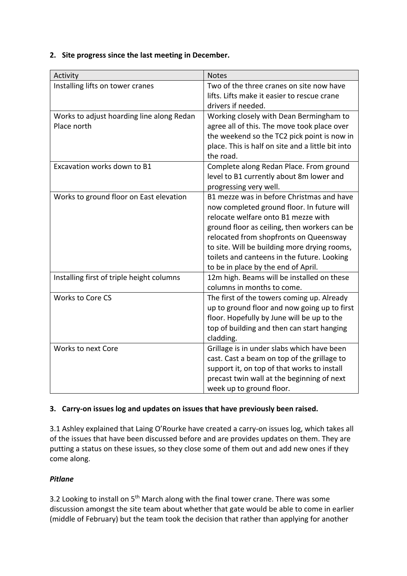### **2. Site progress since the last meeting in December.**

| Activity                                                 | <b>Notes</b>                                                                                                                                                                                                                                                                                                                                                   |
|----------------------------------------------------------|----------------------------------------------------------------------------------------------------------------------------------------------------------------------------------------------------------------------------------------------------------------------------------------------------------------------------------------------------------------|
| Installing lifts on tower cranes                         | Two of the three cranes on site now have<br>lifts. Lifts make it easier to rescue crane<br>drivers if needed.                                                                                                                                                                                                                                                  |
| Works to adjust hoarding line along Redan<br>Place north | Working closely with Dean Bermingham to<br>agree all of this. The move took place over<br>the weekend so the TC2 pick point is now in<br>place. This is half on site and a little bit into<br>the road.                                                                                                                                                        |
| Excavation works down to B1                              | Complete along Redan Place. From ground<br>level to B1 currently about 8m lower and<br>progressing very well.                                                                                                                                                                                                                                                  |
| Works to ground floor on East elevation                  | B1 mezze was in before Christmas and have<br>now completed ground floor. In future will<br>relocate welfare onto B1 mezze with<br>ground floor as ceiling, then workers can be<br>relocated from shopfronts on Queensway<br>to site. Will be building more drying rooms,<br>toilets and canteens in the future. Looking<br>to be in place by the end of April. |
| Installing first of triple height columns                | 12m high. Beams will be installed on these<br>columns in months to come.                                                                                                                                                                                                                                                                                       |
| <b>Works to Core CS</b>                                  | The first of the towers coming up. Already<br>up to ground floor and now going up to first<br>floor. Hopefully by June will be up to the<br>top of building and then can start hanging<br>cladding.                                                                                                                                                            |
| Works to next Core                                       | Grillage is in under slabs which have been<br>cast. Cast a beam on top of the grillage to<br>support it, on top of that works to install<br>precast twin wall at the beginning of next<br>week up to ground floor.                                                                                                                                             |

## **3. Carry-on issues log and updates on issues that have previously been raised.**

3.1 Ashley explained that Laing O'Rourke have created a carry-on issues log, which takes all of the issues that have been discussed before and are provides updates on them. They are putting a status on these issues, so they close some of them out and add new ones if they come along.

## *Pitlane*

3.2 Looking to install on  $5<sup>th</sup>$  March along with the final tower crane. There was some discussion amongst the site team about whether that gate would be able to come in earlier (middle of February) but the team took the decision that rather than applying for another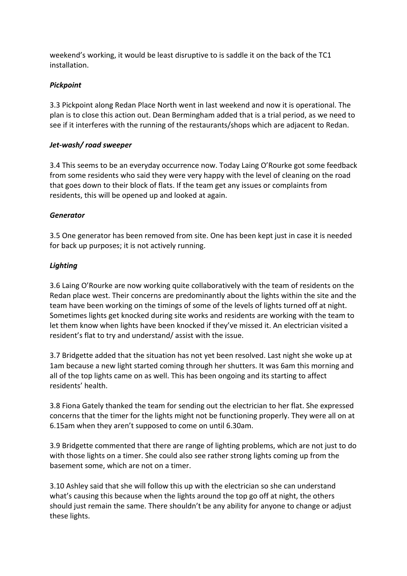weekend's working, it would be least disruptive to is saddle it on the back of the TC1 installation.

## *Pickpoint*

3.3 Pickpoint along Redan Place North went in last weekend and now it is operational. The plan is to close this action out. Dean Bermingham added that is a trial period, as we need to see if it interferes with the running of the restaurants/shops which are adjacent to Redan.

### *Jet-wash/ road sweeper*

3.4 This seems to be an everyday occurrence now. Today Laing O'Rourke got some feedback from some residents who said they were very happy with the level of cleaning on the road that goes down to their block of flats. If the team get any issues or complaints from residents, this will be opened up and looked at again.

### *Generator*

3.5 One generator has been removed from site. One has been kept just in case it is needed for back up purposes; it is not actively running.

### *Lighting*

3.6 Laing O'Rourke are now working quite collaboratively with the team of residents on the Redan place west. Their concerns are predominantly about the lights within the site and the team have been working on the timings of some of the levels of lights turned off at night. Sometimes lights get knocked during site works and residents are working with the team to let them know when lights have been knocked if they've missed it. An electrician visited a resident's flat to try and understand/ assist with the issue.

3.7 Bridgette added that the situation has not yet been resolved. Last night she woke up at 1am because a new light started coming through her shutters. It was 6am this morning and all of the top lights came on as well. This has been ongoing and its starting to affect residents' health.

3.8 Fiona Gately thanked the team for sending out the electrician to her flat. She expressed concerns that the timer for the lights might not be functioning properly. They were all on at 6.15am when they aren't supposed to come on until 6.30am.

3.9 Bridgette commented that there are range of lighting problems, which are not just to do with those lights on a timer. She could also see rather strong lights coming up from the basement some, which are not on a timer.

3.10 Ashley said that she will follow this up with the electrician so she can understand what's causing this because when the lights around the top go off at night, the others should just remain the same. There shouldn't be any ability for anyone to change or adjust these lights.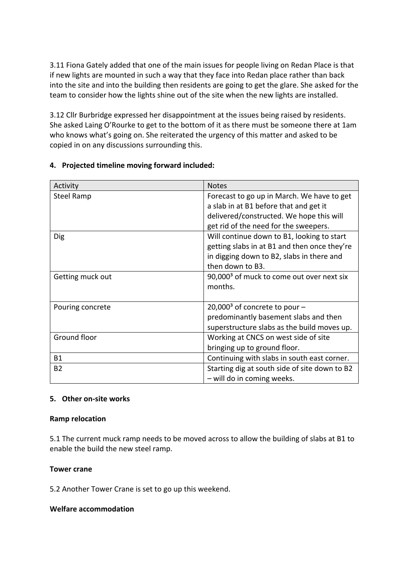3.11 Fiona Gately added that one of the main issues for people living on Redan Place is that if new lights are mounted in such a way that they face into Redan place rather than back into the site and into the building then residents are going to get the glare. She asked for the team to consider how the lights shine out of the site when the new lights are installed.

3.12 Cllr Burbridge expressed her disappointment at the issues being raised by residents. She asked Laing O'Rourke to get to the bottom of it as there must be someone there at 1am who knows what's going on. She reiterated the urgency of this matter and asked to be copied in on any discussions surrounding this.

| Activity          | <b>Notes</b>                                          |
|-------------------|-------------------------------------------------------|
| <b>Steel Ramp</b> | Forecast to go up in March. We have to get            |
|                   | a slab in at B1 before that and get it                |
|                   | delivered/constructed. We hope this will              |
|                   | get rid of the need for the sweepers.                 |
| <b>Dig</b>        | Will continue down to B1, looking to start            |
|                   | getting slabs in at B1 and then once they're          |
|                   | in digging down to B2, slabs in there and             |
|                   | then down to B3.                                      |
| Getting muck out  | 90,000 <sup>3</sup> of muck to come out over next six |
|                   | months.                                               |
|                   |                                                       |
| Pouring concrete  | $20,0003$ of concrete to pour -                       |
|                   | predominantly basement slabs and then                 |
|                   | superstructure slabs as the build moves up.           |
| Ground floor      | Working at CNCS on west side of site                  |
|                   | bringing up to ground floor.                          |
| <b>B1</b>         | Continuing with slabs in south east corner.           |
| <b>B2</b>         | Starting dig at south side of site down to B2         |
|                   | - will do in coming weeks.                            |

## **4. Projected timeline moving forward included:**

### **5. Other on-site works**

### **Ramp relocation**

5.1 The current muck ramp needs to be moved across to allow the building of slabs at B1 to enable the build the new steel ramp.

### **Tower crane**

5.2 Another Tower Crane is set to go up this weekend.

### **Welfare accommodation**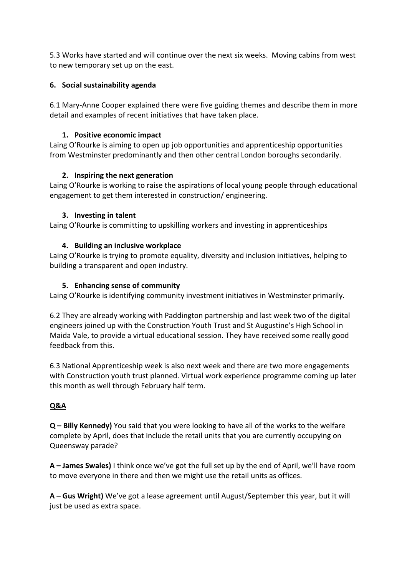5.3 Works have started and will continue over the next six weeks. Moving cabins from west to new temporary set up on the east.

## **6. Social sustainability agenda**

6.1 Mary-Anne Cooper explained there were five guiding themes and describe them in more detail and examples of recent initiatives that have taken place.

## **1. Positive economic impact**

Laing O'Rourke is aiming to open up job opportunities and apprenticeship opportunities from Westminster predominantly and then other central London boroughs secondarily.

## **2. Inspiring the next generation**

Laing O'Rourke is working to raise the aspirations of local young people through educational engagement to get them interested in construction/ engineering.

## **3. Investing in talent**

Laing O'Rourke is committing to upskilling workers and investing in apprenticeships

## **4. Building an inclusive workplace**

Laing O'Rourke is trying to promote equality, diversity and inclusion initiatives, helping to building a transparent and open industry.

## **5. Enhancing sense of community**

Laing O'Rourke is identifying community investment initiatives in Westminster primarily.

6.2 They are already working with Paddington partnership and last week two of the digital engineers joined up with the Construction Youth Trust and St Augustine's High School in Maida Vale, to provide a virtual educational session. They have received some really good feedback from this.

6.3 National Apprenticeship week is also next week and there are two more engagements with Construction youth trust planned. Virtual work experience programme coming up later this month as well through February half term.

# **Q&A**

**Q – Billy Kennedy)** You said that you were looking to have all of the works to the welfare complete by April, does that include the retail units that you are currently occupying on Queensway parade?

**A – James Swales)** I think once we've got the full set up by the end of April, we'll have room to move everyone in there and then we might use the retail units as offices.

**A – Gus Wright)** We've got a lease agreement until August/September this year, but it will just be used as extra space.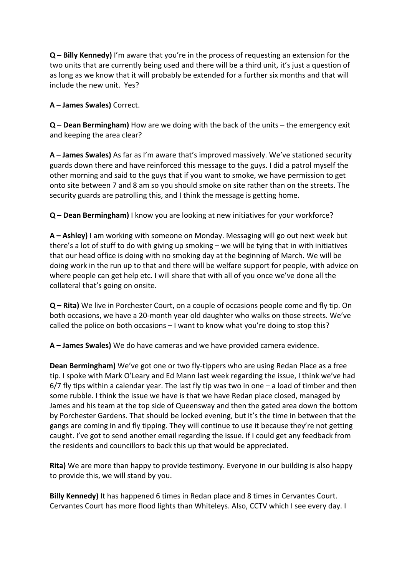**Q – Billy Kennedy)** I'm aware that you're in the process of requesting an extension for the two units that are currently being used and there will be a third unit, it's just a question of as long as we know that it will probably be extended for a further six months and that will include the new unit. Yes?

**A – James Swales)** Correct.

**Q – Dean Bermingham)** How are we doing with the back of the units – the emergency exit and keeping the area clear?

**A – James Swales)** As far as I'm aware that's improved massively. We've stationed security guards down there and have reinforced this message to the guys. I did a patrol myself the other morning and said to the guys that if you want to smoke, we have permission to get onto site between 7 and 8 am so you should smoke on site rather than on the streets. The security guards are patrolling this, and I think the message is getting home.

**Q – Dean Bermingham)** I know you are looking at new initiatives for your workforce?

**A – Ashley)** I am working with someone on Monday. Messaging will go out next week but there's a lot of stuff to do with giving up smoking – we will be tying that in with initiatives that our head office is doing with no smoking day at the beginning of March. We will be doing work in the run up to that and there will be welfare support for people, with advice on where people can get help etc. I will share that with all of you once we've done all the collateral that's going on onsite.

**Q – Rita)** We live in Porchester Court, on a couple of occasions people come and fly tip. On both occasions, we have a 20-month year old daughter who walks on those streets. We've called the police on both occasions – I want to know what you're doing to stop this?

**A – James Swales)** We do have cameras and we have provided camera evidence.

**Dean Bermingham)** We've got one or two fly-tippers who are using Redan Place as a free tip. I spoke with Mark O'Leary and Ed Mann last week regarding the issue, I think we've had  $6/7$  fly tips within a calendar year. The last fly tip was two in one  $-$  a load of timber and then some rubble. I think the issue we have is that we have Redan place closed, managed by James and his team at the top side of Queensway and then the gated area down the bottom by Porchester Gardens. That should be locked evening, but it's the time in between that the gangs are coming in and fly tipping. They will continue to use it because they're not getting caught. I've got to send another email regarding the issue. if I could get any feedback from the residents and councillors to back this up that would be appreciated.

**Rita)** We are more than happy to provide testimony. Everyone in our building is also happy to provide this, we will stand by you.

**Billy Kennedy)** It has happened 6 times in Redan place and 8 times in Cervantes Court. Cervantes Court has more flood lights than Whiteleys. Also, CCTV which I see every day. I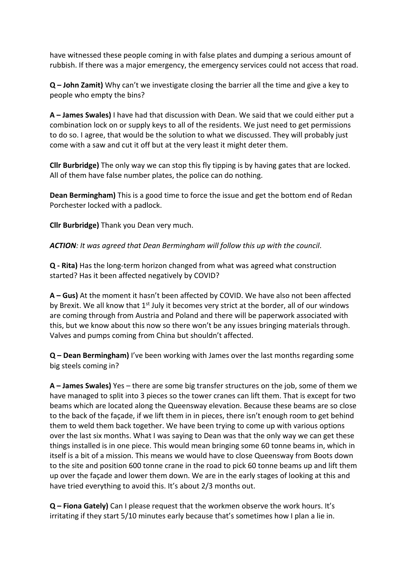have witnessed these people coming in with false plates and dumping a serious amount of rubbish. If there was a major emergency, the emergency services could not access that road.

**Q – John Zamit)** Why can't we investigate closing the barrier all the time and give a key to people who empty the bins?

**A – James Swales)** I have had that discussion with Dean. We said that we could either put a combination lock on or supply keys to all of the residents. We just need to get permissions to do so. I agree, that would be the solution to what we discussed. They will probably just come with a saw and cut it off but at the very least it might deter them.

**Cllr Burbridge)** The only way we can stop this fly tipping is by having gates that are locked. All of them have false number plates, the police can do nothing.

**Dean Bermingham)** This is a good time to force the issue and get the bottom end of Redan Porchester locked with a padlock.

**Cllr Burbridge)** Thank you Dean very much.

*ACTION: It was agreed that Dean Bermingham will follow this up with the council*.

**Q - Rita)** Has the long-term horizon changed from what was agreed what construction started? Has it been affected negatively by COVID?

**A – Gus)** At the moment it hasn't been affected by COVID. We have also not been affected by Brexit. We all know that  $1<sup>st</sup>$  July it becomes very strict at the border, all of our windows are coming through from Austria and Poland and there will be paperwork associated with this, but we know about this now so there won't be any issues bringing materials through. Valves and pumps coming from China but shouldn't affected.

**Q – Dean Bermingham)** I've been working with James over the last months regarding some big steels coming in?

**A – James Swales)** Yes – there are some big transfer structures on the job, some of them we have managed to split into 3 pieces so the tower cranes can lift them. That is except for two beams which are located along the Queensway elevation. Because these beams are so close to the back of the façade, if we lift them in in pieces, there isn't enough room to get behind them to weld them back together. We have been trying to come up with various options over the last six months. What I was saying to Dean was that the only way we can get these things installed is in one piece. This would mean bringing some 60 tonne beams in, which in itself is a bit of a mission. This means we would have to close Queensway from Boots down to the site and position 600 tonne crane in the road to pick 60 tonne beams up and lift them up over the façade and lower them down. We are in the early stages of looking at this and have tried everything to avoid this. It's about 2/3 months out.

**Q – Fiona Gately)** Can I please request that the workmen observe the work hours. It's irritating if they start 5/10 minutes early because that's sometimes how I plan a lie in.